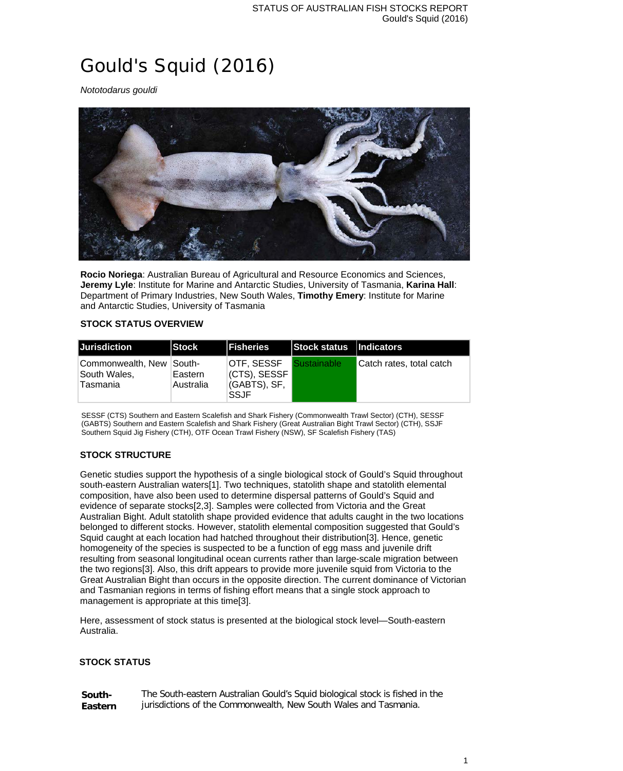# Gould's Squid (2016)

*Nototodarus gouldi*



**Rocio Noriega**: Australian Bureau of Agricultural and Resource Economics and Sciences, **Jeremy Lyle**: Institute for Marine and Antarctic Studies, University of Tasmania, **Karina Hall**: Department of Primary Industries, New South Wales, **Timothy Emery**: Institute for Marine and Antarctic Studies, University of Tasmania

## **STOCK STATUS OVERVIEW**

| <b>Jurisdiction</b>                                  | Stock                | <b>IFisheries</b>                                         | Stock status   Indicators |                          |
|------------------------------------------------------|----------------------|-----------------------------------------------------------|---------------------------|--------------------------|
| Commonwealth, New South-<br>South Wales,<br>Tasmania | Eastern<br>Australia | OTF, SESSF<br>(CTS), SESSF<br>(GABTS), SF,<br><b>SSJF</b> | <b>Sustainable</b>        | Catch rates, total catch |

SESSF (CTS) Southern and Eastern Scalefish and Shark Fishery (Commonwealth Trawl Sector) (CTH), SESSF (GABTS) Southern and Eastern Scalefish and Shark Fishery (Great Australian Bight Trawl Sector) (CTH), SSJF Southern Squid Jig Fishery (CTH), OTF Ocean Trawl Fishery (NSW), SF Scalefish Fishery (TAS)

## **STOCK STRUCTURE**

Genetic studies support the hypothesis of a single biological stock of Gould's Squid throughout south-eastern Australian waters[1]. Two techniques, statolith shape and statolith elemental composition, have also been used to determine dispersal patterns of Gould's Squid and evidence of separate stocks[2,3]. Samples were collected from Victoria and the Great Australian Bight. Adult statolith shape provided evidence that adults caught in the two locations belonged to different stocks. However, statolith elemental composition suggested that Gould's Squid caught at each location had hatched throughout their distribution[3]. Hence, genetic homogeneity of the species is suspected to be a function of egg mass and juvenile drift resulting from seasonal longitudinal ocean currents rather than large-scale migration between the two regions[3]. Also, this drift appears to provide more juvenile squid from Victoria to the Great Australian Bight than occurs in the opposite direction. The current dominance of Victorian and Tasmanian regions in terms of fishing effort means that a single stock approach to management is appropriate at this time[3].

Here, assessment of stock status is presented at the biological stock level—South-eastern Australia.

#### **STOCK STATUS**

| South-  | The South-eastern Australian Gould's Squid biological stock is fished in the |
|---------|------------------------------------------------------------------------------|
| Eastern | jurisdictions of the Commonwealth, New South Wales and Tasmania.             |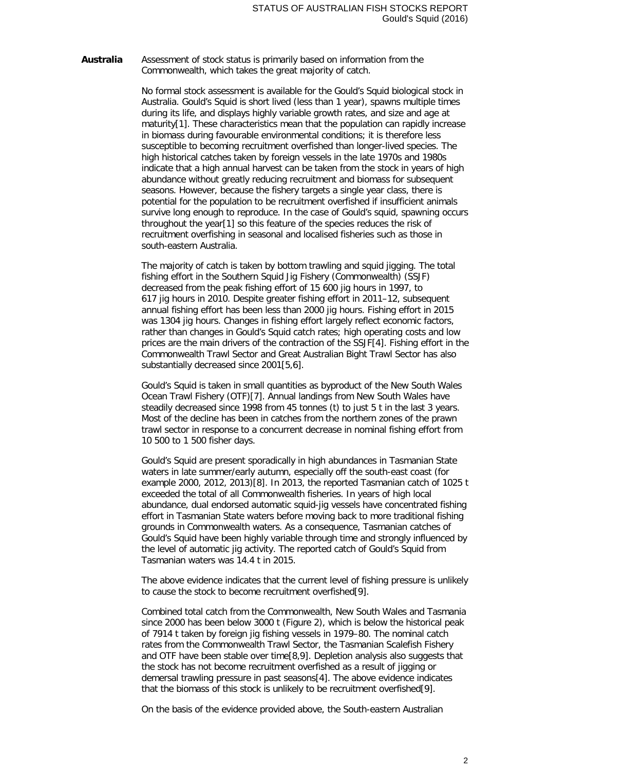**Australia** Assessment of stock status is primarily based on information from the Commonwealth, which takes the great majority of catch.

> No formal stock assessment is available for the Gould's Squid biological stock in Australia. Gould's Squid is short lived (less than 1 year), spawns multiple times during its life, and displays highly variable growth rates, and size and age at maturity[1]. These characteristics mean that the population can rapidly increase in biomass during favourable environmental conditions; it is therefore less susceptible to becoming recruitment overfished than longer-lived species. The high historical catches taken by foreign vessels in the late 1970s and 1980s indicate that a high annual harvest can be taken from the stock in years of high abundance without greatly reducing recruitment and biomass for subsequent seasons. However, because the fishery targets a single year class, there is potential for the population to be recruitment overfished if insufficient animals survive long enough to reproduce. In the case of Gould's squid, spawning occurs throughout the year[1] so this feature of the species reduces the risk of recruitment overfishing in seasonal and localised fisheries such as those in south-eastern Australia.

> The majority of catch is taken by bottom trawling and squid jigging. The total fishing effort in the Southern Squid Jig Fishery (Commonwealth) (SSJF) decreased from the peak fishing effort of 15 600 jig hours in 1997, to 617 jig hours in 2010. Despite greater fishing effort in 2011–12, subsequent annual fishing effort has been less than 2000 jig hours. Fishing effort in 2015 was 1304 jig hours. Changes in fishing effort largely reflect economic factors, rather than changes in Gould's Squid catch rates; high operating costs and low prices are the main drivers of the contraction of the SSJF[4]. Fishing effort in the Commonwealth Trawl Sector and Great Australian Bight Trawl Sector has also substantially decreased since 2001[5,6].

Gould's Squid is taken in small quantities as byproduct of the New South Wales Ocean Trawl Fishery (OTF)[7]. Annual landings from New South Wales have steadily decreased since 1998 from 45 tonnes (t) to just 5 t in the last 3 years. Most of the decline has been in catches from the northern zones of the prawn trawl sector in response to a concurrent decrease in nominal fishing effort from 10 500 to 1 500 fisher days.

Gould's Squid are present sporadically in high abundances in Tasmanian State waters in late summer/early autumn, especially off the south-east coast (for example 2000, 2012, 2013)[8]. In 2013, the reported Tasmanian catch of 1025 t exceeded the total of all Commonwealth fisheries. In years of high local abundance, dual endorsed automatic squid-jig vessels have concentrated fishing effort in Tasmanian State waters before moving back to more traditional fishing grounds in Commonwealth waters. As a consequence, Tasmanian catches of Gould's Squid have been highly variable through time and strongly influenced by the level of automatic jig activity. The reported catch of Gould's Squid from Tasmanian waters was 14.4 t in 2015.

The above evidence indicates that the current level of fishing pressure is unlikely to cause the stock to become recruitment overfished[9].

Combined total catch from the Commonwealth, New South Wales and Tasmania since 2000 has been below 3000 t (Figure 2), which is below the historical peak of 7914 t taken by foreign jig fishing vessels in 1979–80. The nominal catch rates from the Commonwealth Trawl Sector, the Tasmanian Scalefish Fishery and OTF have been stable over time[8,9]. Depletion analysis also suggests that the stock has not become recruitment overfished as a result of jigging or demersal trawling pressure in past seasons[4]. The above evidence indicates that the biomass of this stock is unlikely to be recruitment overfished[9].

On the basis of the evidence provided above, the South-eastern Australian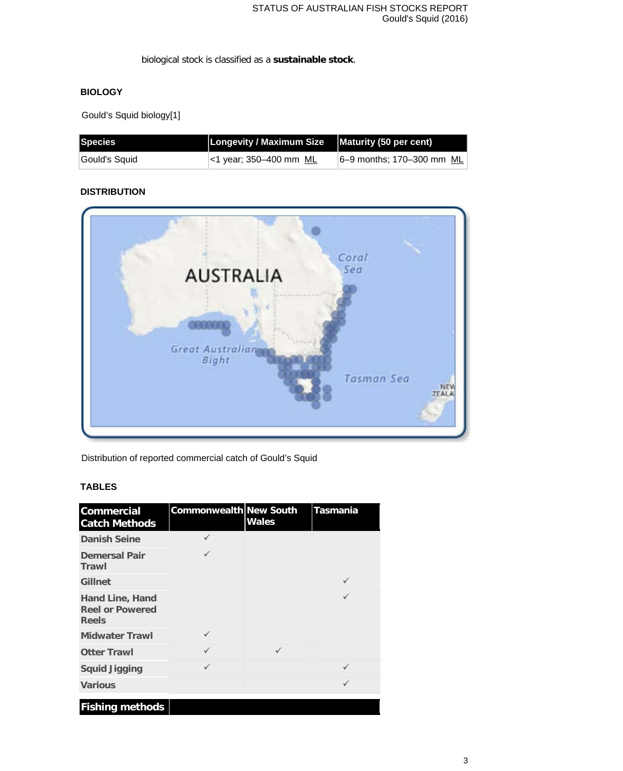biological stock is classified as a **sustainable stock**.

## **BIOLOGY**

Gould's Squid biology[1]

| Species        | Longevity / Maximum Size $\vert$ Maturity (50 per cent) |                           |
|----------------|---------------------------------------------------------|---------------------------|
| ∣Gould's Squid | $\le$ 1 year; 350-400 mm ML                             | 6-9 months; 170-300 mm ML |

## **DISTRIBUTION**



Distribution of reported commercial catch of Gould's Squid

## **TABLES**

| <b>Commercial</b><br><b>Catch Methods</b>                        | <b>Commonwealth New South</b> | <b>Wales</b> | <b>Tasmania</b> |
|------------------------------------------------------------------|-------------------------------|--------------|-----------------|
| <b>Danish Seine</b>                                              |                               |              |                 |
| <b>Demersal Pair</b><br>Trawl                                    | $\checkmark$                  |              |                 |
| Gillnet                                                          |                               |              | $\checkmark$    |
| <b>Hand Line, Hand</b><br><b>Reel or Powered</b><br><b>Reels</b> |                               |              |                 |
| <b>Midwater Trawl</b>                                            | $\checkmark$                  |              |                 |
| <b>Otter Trawl</b>                                               | ✓                             | $\checkmark$ |                 |
| <b>Squid Jigging</b>                                             | $\checkmark$                  |              | ✓               |
| <b>Various</b>                                                   |                               |              | $\checkmark$    |
| <b>Fishing methods</b>                                           |                               |              |                 |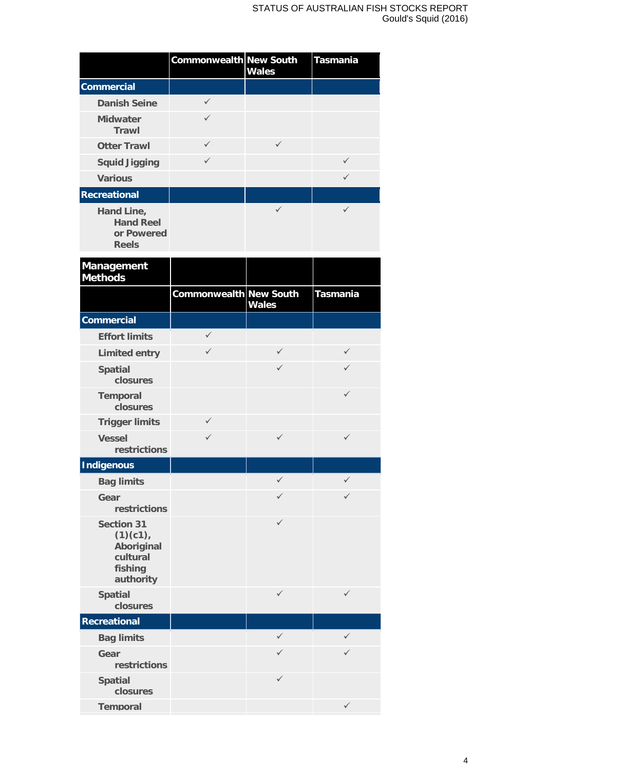|                                                              | <b>Commonwealth New South</b> | <b>Wales</b> | <b>Tasmania</b> |
|--------------------------------------------------------------|-------------------------------|--------------|-----------------|
| <b>Commercial</b>                                            |                               |              |                 |
| <b>Danish Seine</b>                                          | $\checkmark$                  |              |                 |
| <b>Midwater</b><br>Trawl                                     | $\checkmark$                  |              |                 |
| <b>Otter Trawl</b>                                           | ✓                             | ✓            |                 |
| <b>Squid Jigging</b>                                         | $\checkmark$                  |              | $\checkmark$    |
| <b>Various</b>                                               |                               |              |                 |
| <b>Recreational</b>                                          |                               |              |                 |
| Hand Line,<br><b>Hand Reel</b><br>or Powered<br><b>Reels</b> |                               |              |                 |

| Management<br><b>Methods</b>                                                    |                               |              |                 |
|---------------------------------------------------------------------------------|-------------------------------|--------------|-----------------|
|                                                                                 | <b>Commonwealth New South</b> | <b>Wales</b> | <b>Tasmania</b> |
| <b>Commercial</b>                                                               |                               |              |                 |
| <b>Effort limits</b>                                                            | $\checkmark$                  |              |                 |
| <b>Limited entry</b>                                                            | $\checkmark$                  | ✓            | $\checkmark$    |
| <b>Spatial</b><br>closures                                                      |                               | $\checkmark$ | $\checkmark$    |
| <b>Temporal</b><br>closures                                                     |                               |              | $\checkmark$    |
| <b>Trigger limits</b>                                                           | $\checkmark$                  |              |                 |
| <b>Vessel</b><br>restrictions                                                   | ✓                             | $\checkmark$ | $\checkmark$    |
| <b>Indigenous</b>                                                               |                               |              |                 |
| <b>Bag limits</b>                                                               |                               | $\checkmark$ | $\checkmark$    |
| Gear<br>restrictions                                                            |                               | ✓            | $\checkmark$    |
| <b>Section 31</b><br>(1)(c1),<br>Aboriginal<br>cultural<br>fishing<br>authority |                               | ✓            |                 |
| <b>Spatial</b><br>closures                                                      |                               | $\checkmark$ | ✓               |
| Recreational                                                                    |                               |              |                 |
| <b>Bag limits</b>                                                               |                               | $\checkmark$ | $\checkmark$    |
| Gear<br>restrictions                                                            |                               | ✓            | $\checkmark$    |
| <b>Spatial</b><br>closures                                                      |                               | $\checkmark$ |                 |
| <b>Temporal</b>                                                                 |                               |              | ✓               |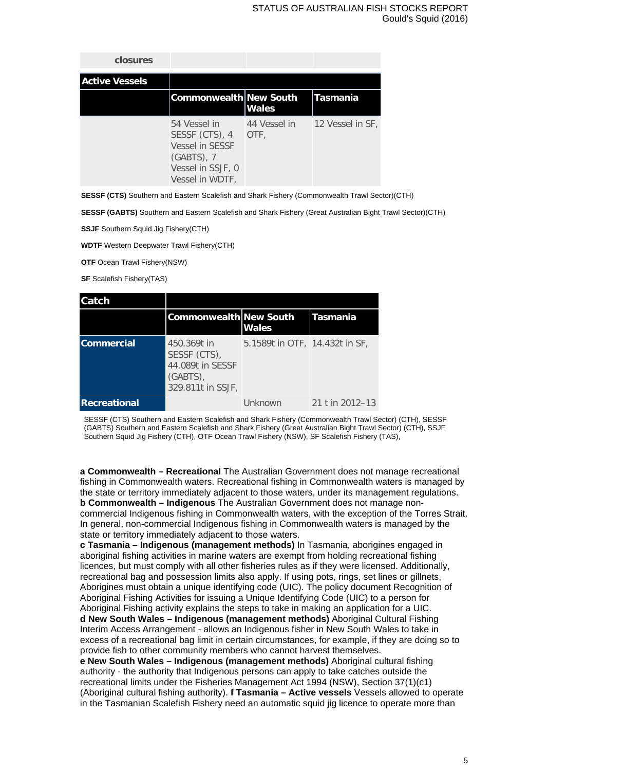| closures              |                                                                                                            |                      |                  |
|-----------------------|------------------------------------------------------------------------------------------------------------|----------------------|------------------|
| <b>Active Vessels</b> |                                                                                                            |                      |                  |
|                       | <b>Commonwealth New South</b>                                                                              | <b>Wales</b>         | lTasmania        |
|                       | 54 Vessel in<br>SESSF (CTS), 4<br>Vessel in SESSF<br>$(GABTS)$ , 7<br>Vessel in SSJF, 0<br>Vessel in WDTF, | 44 Vessel in<br>OTF, | 12 Vessel in SF, |

**SESSF (CTS)** Southern and Eastern Scalefish and Shark Fishery (Commonwealth Trawl Sector)(CTH)

**SESSF (GABTS)** Southern and Eastern Scalefish and Shark Fishery (Great Australian Bight Trawl Sector)(CTH)

**SSJF** Southern Squid Jig Fishery(CTH)

**WDTF** Western Deepwater Trawl Fishery(CTH)

**OTF** Ocean Trawl Fishery(NSW)

**SF** Scalefish Fishery(TAS)

| Catch               |                                                                                 |                                |                 |
|---------------------|---------------------------------------------------------------------------------|--------------------------------|-----------------|
|                     | <b>Commonwealth New South</b>                                                   | <b>Wales</b>                   | Tasmania        |
| <b>Commercial</b>   | 450.369t in<br>SESSF (CTS),<br>44.089t in SESSF<br>(GABTS)<br>329.811t in SSJF, | 5.1589t in OTF, 14.432t in SF, |                 |
| <b>Recreational</b> |                                                                                 | Unknown                        | 21 t in 2012–13 |

SESSF (CTS) Southern and Eastern Scalefish and Shark Fishery (Commonwealth Trawl Sector) (CTH), SESSF (GABTS) Southern and Eastern Scalefish and Shark Fishery (Great Australian Bight Trawl Sector) (CTH), SSJF Southern Squid Jig Fishery (CTH), OTF Ocean Trawl Fishery (NSW), SF Scalefish Fishery (TAS),

**a Commonwealth – Recreational** The Australian Government does not manage recreational fishing in Commonwealth waters. Recreational fishing in Commonwealth waters is managed by the state or territory immediately adjacent to those waters, under its management regulations. **b Commonwealth – Indigenous** The Australian Government does not manage noncommercial Indigenous fishing in Commonwealth waters, with the exception of the Torres Strait. In general, non-commercial Indigenous fishing in Commonwealth waters is managed by the state or territory immediately adjacent to those waters.

**c Tasmania – Indigenous (management methods)** In Tasmania, aborigines engaged in aboriginal fishing activities in marine waters are exempt from holding recreational fishing licences, but must comply with all other fisheries rules as if they were licensed. Additionally, recreational bag and possession limits also apply. If using pots, rings, set lines or gillnets, Aborigines must obtain a unique identifying code (UIC). The policy document Recognition of Aboriginal Fishing Activities for issuing a Unique Identifying Code (UIC) to a person for Aboriginal Fishing activity explains the steps to take in making an application for a UIC. **d New South Wales – Indigenous (management methods)** Aboriginal Cultural Fishing Interim Access Arrangement - allows an Indigenous fisher in New South Wales to take in excess of a recreational bag limit in certain circumstances, for example, if they are doing so to provide fish to other community members who cannot harvest themselves.

**e New South Wales – Indigenous (management methods)** Aboriginal cultural fishing authority - the authority that Indigenous persons can apply to take catches outside the recreational limits under the Fisheries Management Act 1994 (NSW), Section 37(1)(c1) (Aboriginal cultural fishing authority). **f Tasmania – Active vessels** Vessels allowed to operate in the Tasmanian Scalefish Fishery need an automatic squid jig licence to operate more than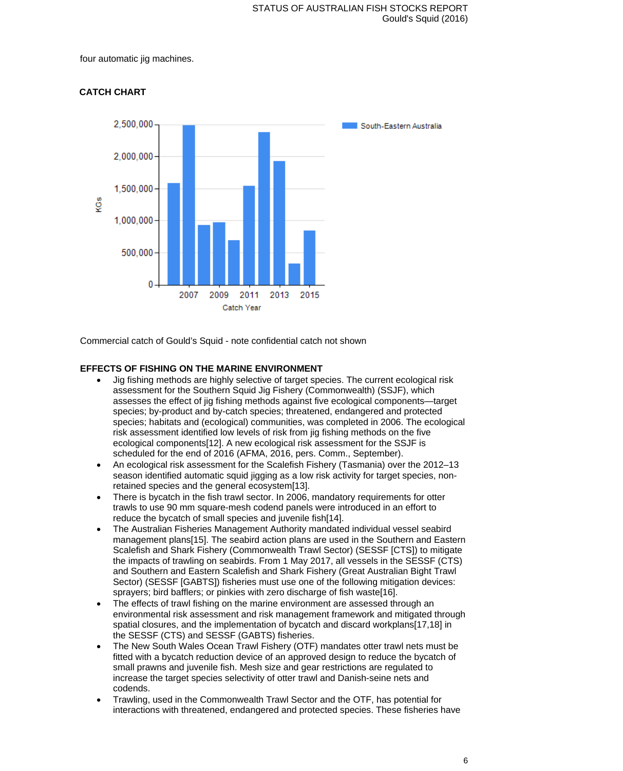four automatic jig machines.



# **CATCH CHART**

Commercial catch of Gould's Squid - note confidential catch not shown

## **EFFECTS OF FISHING ON THE MARINE ENVIRONMENT**

- Jig fishing methods are highly selective of target species. The current ecological risk assessment for the Southern Squid Jig Fishery (Commonwealth) (SSJF), which assesses the effect of jig fishing methods against five ecological components—target species; by-product and by-catch species; threatened, endangered and protected species; habitats and (ecological) communities, was completed in 2006. The ecological risk assessment identified low levels of risk from jig fishing methods on the five ecological components[12]. A new ecological risk assessment for the SSJF is scheduled for the end of 2016 (AFMA, 2016, pers. Comm., September).
- An ecological risk assessment for the Scalefish Fishery (Tasmania) over the 2012–13 season identified automatic squid jigging as a low risk activity for target species, nonretained species and the general ecosystem[13].
- There is bycatch in the fish trawl sector. In 2006, mandatory requirements for otter trawls to use 90 mm square-mesh codend panels were introduced in an effort to reduce the bycatch of small species and juvenile fish[14].
- The Australian Fisheries Management Authority mandated individual vessel seabird management plans[15]. The seabird action plans are used in the Southern and Eastern Scalefish and Shark Fishery (Commonwealth Trawl Sector) (SESSF [CTS]) to mitigate the impacts of trawling on seabirds. From 1 May 2017, all vessels in the SESSF (CTS) and Southern and Eastern Scalefish and Shark Fishery (Great Australian Bight Trawl Sector) (SESSF [GABTS]) fisheries must use one of the following mitigation devices: sprayers; bird bafflers; or pinkies with zero discharge of fish waste[16].
- The effects of trawl fishing on the marine environment are assessed through an environmental risk assessment and risk management framework and mitigated through spatial closures, and the implementation of bycatch and discard workplans[17,18] in the SESSF (CTS) and SESSF (GABTS) fisheries.
- The New South Wales Ocean Trawl Fishery (OTF) mandates otter trawl nets must be fitted with a bycatch reduction device of an approved design to reduce the bycatch of small prawns and juvenile fish. Mesh size and gear restrictions are regulated to increase the target species selectivity of otter trawl and Danish-seine nets and codends.
- Trawling, used in the Commonwealth Trawl Sector and the OTF, has potential for interactions with threatened, endangered and protected species. These fisheries have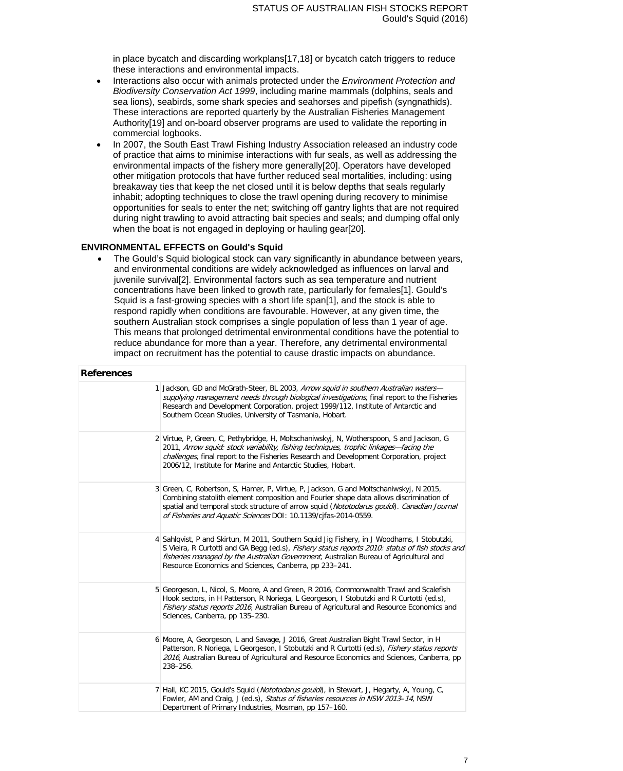in place bycatch and discarding workplans[17,18] or bycatch catch triggers to reduce these interactions and environmental impacts.

- Interactions also occur with animals protected under the *Environment Protection and Biodiversity Conservation Act 1999*, including marine mammals (dolphins, seals and sea lions), seabirds, some shark species and seahorses and pipefish (syngnathids). These interactions are reported quarterly by the Australian Fisheries Management Authority[19] and on-board observer programs are used to validate the reporting in commercial logbooks.
- In 2007, the South East Trawl Fishing Industry Association released an industry code of practice that aims to minimise interactions with fur seals, as well as addressing the environmental impacts of the fishery more generally[20]. Operators have developed other mitigation protocols that have further reduced seal mortalities, including: using breakaway ties that keep the net closed until it is below depths that seals regularly inhabit; adopting techniques to close the trawl opening during recovery to minimise opportunities for seals to enter the net; switching off gantry lights that are not required during night trawling to avoid attracting bait species and seals; and dumping offal only when the boat is not engaged in deploying or hauling gear[20].

#### **ENVIRONMENTAL EFFECTS on Gould's Squid**

• The Gould's Squid biological stock can vary significantly in abundance between years, and environmental conditions are widely acknowledged as influences on larval and juvenile survival[2]. Environmental factors such as sea temperature and nutrient concentrations have been linked to growth rate, particularly for females[1]. Gould's Squid is a fast-growing species with a short life span[1], and the stock is able to respond rapidly when conditions are favourable. However, at any given time, the southern Australian stock comprises a single population of less than 1 year of age. This means that prolonged detrimental environmental conditions have the potential to reduce abundance for more than a year. Therefore, any detrimental environmental impact on recruitment has the potential to cause drastic impacts on abundance.

| <b>References</b> |                                                                                                                                                                                                                                                                                                                                                    |
|-------------------|----------------------------------------------------------------------------------------------------------------------------------------------------------------------------------------------------------------------------------------------------------------------------------------------------------------------------------------------------|
|                   | 1 Jackson, GD and McGrath-Steer, BL 2003, Arrow squid in southern Australian waters-<br>supplying management needs through biological investigations, final report to the Fisheries<br>Research and Development Corporation, project 1999/112, Institute of Antarctic and<br>Southern Ocean Studies, University of Tasmania, Hobart.               |
|                   | 2 Virtue, P, Green, C, Pethybridge, H, Moltschaniwskyj, N, Wotherspoon, S and Jackson, G<br>2011, Arrow squid: stock variability, fishing techniques, trophic linkages—facing the<br>challenges, final report to the Fisheries Research and Development Corporation, project<br>2006/12, Institute for Marine and Antarctic Studies, Hobart.       |
|                   | 3 Green, C, Robertson, S, Hamer, P, Virtue, P, Jackson, G and Moltschaniwskyj, N 2015,<br>Combining statolith element composition and Fourier shape data allows discrimination of<br>spatial and temporal stock structure of arrow squid (Nototodarus qouldi). Canadian Journal<br>of Fisheries and Aquatic Sciences DOI: 10.1139/cjfas-2014-0559. |
|                   | 4 Sahlqvist, P and Skirtun, M 2011, Southern Squid Jiq Fishery, in J Woodhams, I Stobutzki,<br>S Vieira, R Curtotti and GA Begg (ed.s), Fishery status reports 2010: status of fish stocks and<br>fisheries managed by the Australian Government, Australian Bureau of Agricultural and<br>Resource Economics and Sciences, Canberra, pp 233-241.  |
|                   | 5 Georgeson, L, Nicol, S, Moore, A and Green, R 2016, Commonwealth Trawl and Scalefish<br>Hook sectors, in H Patterson, R Noriega, L Georgeson, I Stobutzki and R Curtotti (ed.s),<br>Fishery status reports 2016, Australian Bureau of Agricultural and Resource Economics and<br>Sciences, Canberra, pp 135-230.                                 |
|                   | 6 Moore, A, Georgeson, L and Savage, J 2016, Great Australian Bight Trawl Sector, in H<br>Patterson, R Noriega, L Georgeson, I Stobutzki and R Curtotti (ed.s), Fishery status reports<br>2016, Australian Bureau of Agricultural and Resource Economics and Sciences, Canberra, pp<br>238-256.                                                    |
|                   | 7 Hall, KC 2015, Gould's Squid ( <i>Nototodarus gouldi</i> ), in Stewart, J, Hegarty, A, Young, C,<br>Fowler, AM and Craig, J (ed.s), Status of fisheries resources in NSW 2013-14, NSW<br>Department of Primary Industries, Mosman, pp 157-160.                                                                                                   |